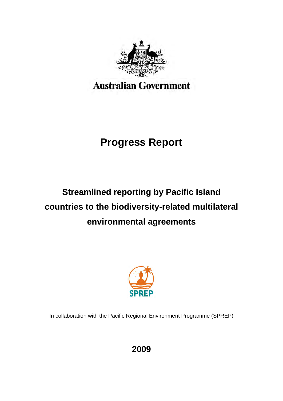

# **Progress Report**

# **Streamlined reporting by Pacific Island countries to the biodiversity-related multilateral environmental agreements**



In collaboration with the Pacific Regional Environment Programme (SPREP)

**2009**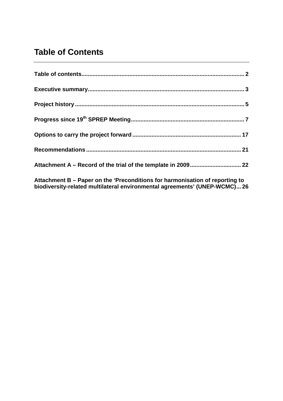# **Table of Contents**

**Attachment B – Paper on the 'Preconditions for harmonisation of reporting to biodiversity-related multilateral environmental agreements' (UNEP-WCMC)... 26**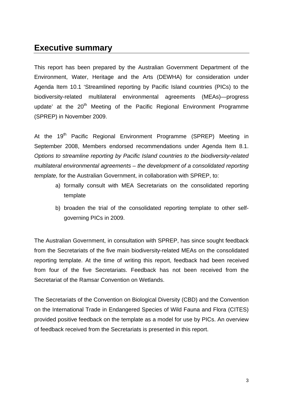# **Executive summary**

This report has been prepared by the Australian Government Department of the Environment, Water, Heritage and the Arts (DEWHA) for consideration under Agenda Item 10.1 'Streamlined reporting by Pacific Island countries (PICs) to the biodiversity-related multilateral environmental agreements (MEAs)—progress update' at the  $20<sup>th</sup>$  Meeting of the Pacific Regional Environment Programme (SPREP) in November 2009.

At the 19<sup>th</sup> Pacific Regional Environment Programme (SPREP) Meeting in September 2008, Members endorsed recommendations under Agenda Item 8.1. *Options to streamline reporting by Pacific Island countries to the biodiversity-related multilateral environmental agreements – the development of a consolidated reporting template,* for the Australian Government, in collaboration with SPREP, to:

- a) formally consult with MEA Secretariats on the consolidated reporting template
- b) broaden the trial of the consolidated reporting template to other selfgoverning PICs in 2009.

The Australian Government, in consultation with SPREP, has since sought feedback from the Secretariats of the five main biodiversity-related MEAs on the consolidated reporting template. At the time of writing this report, feedback had been received from four of the five Secretariats. Feedback has not been received from the Secretariat of the Ramsar Convention on Wetlands.

The Secretariats of the Convention on Biological Diversity (CBD) and the Convention on the International Trade in Endangered Species of Wild Fauna and Flora (CITES) provided positive feedback on the template as a model for use by PICs. An overview of feedback received from the Secretariats is presented in this report.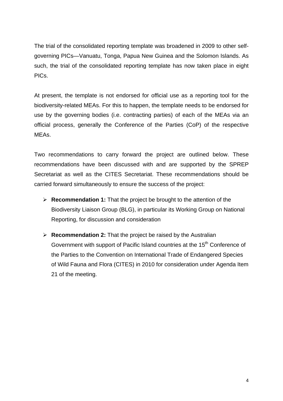The trial of the consolidated reporting template was broadened in 2009 to other selfgoverning PICs—Vanuatu, Tonga, Papua New Guinea and the Solomon Islands. As such, the trial of the consolidated reporting template has now taken place in eight PICs.

At present, the template is not endorsed for official use as a reporting tool for the biodiversity-related MEAs. For this to happen, the template needs to be endorsed for use by the governing bodies (i.e. contracting parties) of each of the MEAs via an official process, generally the Conference of the Parties (CoP) of the respective MEAs.

Two recommendations to carry forward the project are outlined below. These recommendations have been discussed with and are supported by the SPREP Secretariat as well as the CITES Secretariat. These recommendations should be carried forward simultaneously to ensure the success of the project:

- **Recommendation 1:** That the project be brought to the attention of the Biodiversity Liaison Group (BLG), in particular its Working Group on National Reporting, for discussion and consideration
- **Recommendation 2:** That the project be raised by the Australian Government with support of Pacific Island countries at the 15<sup>th</sup> Conference of the Parties to the Convention on International Trade of Endangered Species of Wild Fauna and Flora (CITES) in 2010 for consideration under Agenda Item 21 of the meeting.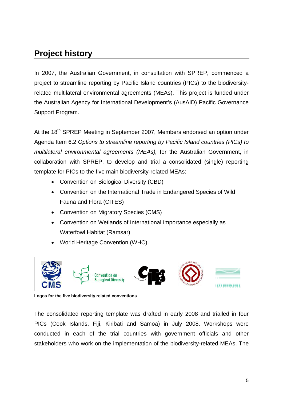# **Project history**

In 2007, the Australian Government, in consultation with SPREP, commenced a project to streamline reporting by Pacific Island countries (PICs) to the biodiversityrelated multilateral environmental agreements (MEAs). This project is funded under the Australian Agency for International Development's (AusAID) Pacific Governance Support Program.

At the 18<sup>th</sup> SPREP Meeting in September 2007, Members endorsed an option under Agenda Item 6.2 *Options to streamline reporting by Pacific Island countries (PICs) to multilateral environmental agreements (MEAs),* for the Australian Government, in collaboration with SPREP, to develop and trial a consolidated (single) reporting template for PICs to the five main biodiversity-related MEAs:

- Convention on Biological Diversity (CBD)
- Convention on the International Trade in Endangered Species of Wild Fauna and Flora (CITES)
- Convention on Migratory Species (CMS)
- Convention on Wetlands of International Importance especially as Waterfowl Habitat (Ramsar)
- World Heritage Convention (WHC).



**Logos for the five biodiversity related conventions**

The consolidated reporting template was drafted in early 2008 and trialled in four PICs (Cook Islands, Fiji, Kiribati and Samoa) in July 2008. Workshops were conducted in each of the trial countries with government officials and other stakeholders who work on the implementation of the biodiversity-related MEAs. The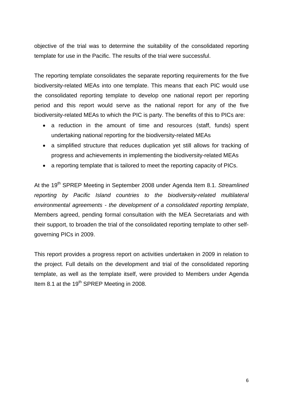objective of the trial was to determine the suitability of the consolidated reporting template for use in the Pacific. The results of the trial were successful.

The reporting template consolidates the separate reporting requirements for the five biodiversity-related MEAs into one template. This means that each PIC would use the consolidated reporting template to develop one national report per reporting period and this report would serve as the national report for any of the five biodiversity-related MEAs to which the PIC is party. The benefits of this to PICs are:

- a reduction in the amount of time and resources (staff, funds) spent undertaking national reporting for the biodiversity-related MEAs
- a simplified structure that reduces duplication yet still allows for tracking of progress and achievements in implementing the biodiversity-related MEAs
- a reporting template that is tailored to meet the reporting capacity of PICs.

At the 19th SPREP Meeting in September 2008 under Agenda Item 8.1. *Streamlined reporting by Pacific Island countries to the biodiversity-related multilateral environmental agreements - the development of a consolidated reporting template*, Members agreed, pending formal consultation with the MEA Secretariats and with their support, to broaden the trial of the consolidated reporting template to other selfgoverning PICs in 2009.

This report provides a progress report on activities undertaken in 2009 in relation to the project. Full details on the development and trial of the consolidated reporting template, as well as the template itself, were provided to Members under Agenda Item 8.1 at the 19<sup>th</sup> SPREP Meeting in 2008.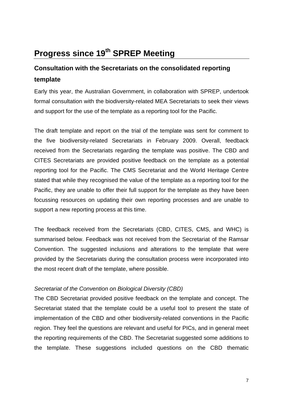# **Progress since 19th SPREP Meeting**

# **Consultation with the Secretariats on the consolidated reporting template**

Early this year, the Australian Government, in collaboration with SPREP, undertook formal consultation with the biodiversity-related MEA Secretariats to seek their views and support for the use of the template as a reporting tool for the Pacific.

The draft template and report on the trial of the template was sent for comment to the five biodiversity-related Secretariats in February 2009. Overall, feedback received from the Secretariats regarding the template was positive. The CBD and CITES Secretariats are provided positive feedback on the template as a potential reporting tool for the Pacific. The CMS Secretariat and the World Heritage Centre stated that while they recognised the value of the template as a reporting tool for the Pacific, they are unable to offer their full support for the template as they have been focussing resources on updating their own reporting processes and are unable to support a new reporting process at this time.

The feedback received from the Secretariats (CBD, CITES, CMS, and WHC) is summarised below. Feedback was not received from the Secretariat of the Ramsar Convention. The suggested inclusions and alterations to the template that were provided by the Secretariats during the consultation process were incorporated into the most recent draft of the template, where possible.

### *Secretariat of the Convention on Biological Diversity (CBD)*

The CBD Secretariat provided positive feedback on the template and concept. The Secretariat stated that the template could be a useful tool to present the state of implementation of the CBD and other biodiversity-related conventions in the Pacific region. They feel the questions are relevant and useful for PICs, and in general meet the reporting requirements of the CBD. The Secretariat suggested some additions to the template. These suggestions included questions on the CBD thematic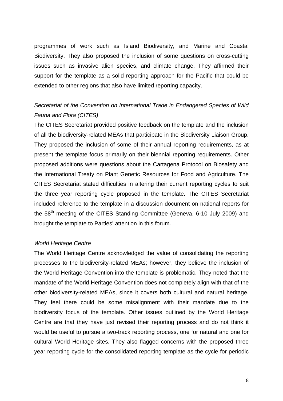programmes of work such as Island Biodiversity, and Marine and Coastal Biodiversity. They also proposed the inclusion of some questions on cross-cutting issues such as invasive alien species, and climate change. They affirmed their support for the template as a solid reporting approach for the Pacific that could be extended to other regions that also have limited reporting capacity.

# *Secretariat of the Convention on International Trade in Endangered Species of Wild Fauna and Flora (CITES)*

The CITES Secretariat provided positive feedback on the template and the inclusion of all the biodiversity-related MEAs that participate in the Biodiversity Liaison Group. They proposed the inclusion of some of their annual reporting requirements, as at present the template focus primarily on their biennial reporting requirements. Other proposed additions were questions about the Cartagena Protocol on Biosafety and the International Treaty on Plant Genetic Resources for Food and Agriculture. The CITES Secretariat stated difficulties in altering their current reporting cycles to suit the three year reporting cycle proposed in the template. The CITES Secretariat included reference to the template in a discussion document on national reports for the 58<sup>th</sup> meeting of the CITES Standing Committee (Geneva, 6-10 July 2009) and brought the template to Parties' attention in this forum.

### *World Heritage Centre*

The World Heritage Centre acknowledged the value of consolidating the reporting processes to the biodiversity-related MEAs; however, they believe the inclusion of the World Heritage Convention into the template is problematic. They noted that the mandate of the World Heritage Convention does not completely align with that of the other biodiversity-related MEAs, since it covers both cultural and natural heritage. They feel there could be some misalignment with their mandate due to the biodiversity focus of the template. Other issues outlined by the World Heritage Centre are that they have just revised their reporting process and do not think it would be useful to pursue a two-track reporting process, one for natural and one for cultural World Heritage sites. They also flagged concerns with the proposed three year reporting cycle for the consolidated reporting template as the cycle for periodic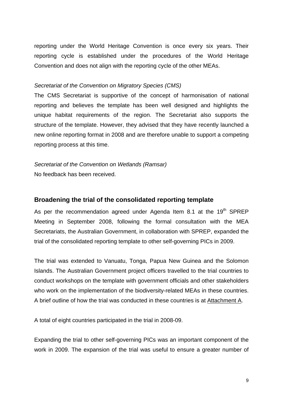reporting under the World Heritage Convention is once every six years. Their reporting cycle is established under the procedures of the World Heritage Convention and does not align with the reporting cycle of the other MEAs.

### *Secretariat of the Convention on Migratory Species (CMS)*

The CMS Secretariat is supportive of the concept of harmonisation of national reporting and believes the template has been well designed and highlights the unique habitat requirements of the region. The Secretariat also supports the structure of the template. However, they advised that they have recently launched a new online reporting format in 2008 and are therefore unable to support a competing reporting process at this time.

*Secretariat of the Convention on Wetlands (Ramsar)*  No feedback has been received.

### **Broadening the trial of the consolidated reporting template**

As per the recommendation agreed under Agenda Item 8.1 at the  $19<sup>th</sup>$  SPREP Meeting in September 2008, following the formal consultation with the MEA Secretariats, the Australian Government, in collaboration with SPREP, expanded the trial of the consolidated reporting template to other self-governing PICs in 2009.

The trial was extended to Vanuatu, Tonga, Papua New Guinea and the Solomon Islands. The Australian Government project officers travelled to the trial countries to conduct workshops on the template with government officials and other stakeholders who work on the implementation of the biodiversity-related MEAs in these countries. A brief outline of how the trial was conducted in these countries is at Attachment A.

A total of eight countries participated in the trial in 2008-09.

Expanding the trial to other self-governing PICs was an important component of the work in 2009. The expansion of the trial was useful to ensure a greater number of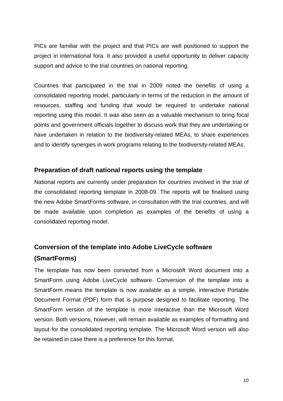PICs are familiar with the project and that PICs are well positioned to support the project in international fora. It also provided a useful opportunity to deliver capacity support and advice to the trial countries on national reporting.

Countries that participated in the trial in 2009 noted the benefits of using a consolidated reporting model, particularly in terms of the reduction in the amount of resources, staffing and funding that would be required to undertake national reporting using this model. It was also seen as a valuable mechanism to bring focal points and government officials together to discuss work that they are undertaking or have undertaken in relation to the biodiversity-related MEAs, to share experiences and to identify synergies in work programs relating to the biodiversity-related MEAs.

### **Preparation of draft national reports using the template**

National reports are currently under preparation for countries involved in the trial of the consolidated reporting template in 2008-09. The reports will be finalised using the new Adobe SmartForms software, in consultation with the trial countries, and will be made available upon completion as examples of the benefits of using a consolidated reporting model.

# **Conversion of the template into Adobe LiveCycle software (SmartForms)**

The template has now been converted from a Microsoft Word document into a SmartForm using Adobe LiveCycle software. Conversion of the template into a SmartForm means the template is now available as a simple, interactive Portable Document Format (PDF) form that is purpose designed to facilitate reporting. The SmartForm version of the template is more interactive than the Microsoft Word version. Both versions, however, will remain available as examples of formatting and layout for the consolidated reporting template. The Microsoft Word version will also be retained in case there is a preference for this format.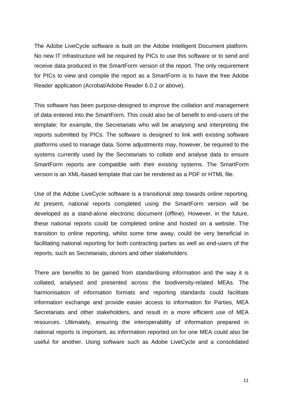The Adobe LiveCycle software is built on the Adobe Intelligent Document platform. No new IT infrastructure will be required by PICs to use this software or to send and receive data produced in the SmartForm version of the report. The only requirement for PICs to view and compile the report as a SmartForm is to have the free Adobe Reader application (Acrobat/Adobe Reader 6.0.2 or above).

This software has been purpose-designed to improve the collation and management of data entered into the SmartForm. This could also be of benefit to end-users of the template; for example, the Secretariats who will be analysing and interpreting the reports submitted by PICs. The software is designed to link with existing software platforms used to manage data. Some adjustments may, however, be required to the systems currently used by the Secretariats to collate and analyse data to ensure SmartForm reports are compatible with their existing systems. The SmartForm version is an XML-based template that can be rendered as a PDF or HTML file.

Use of the Adobe LiveCycle software is a transitional step towards online reporting. At present, national reports completed using the SmartForm version will be developed as a stand-alone electronic document (offline). However, in the future, these national reports could be completed online and hosted on a website. The transition to online reporting, whilst some time away, could be very beneficial in facilitating national reporting for both contracting parties as well as end-users of the reports, such as Secretariats, donors and other stakeholders.

There are benefits to be gained from standardising information and the way it is collated, analysed and presented across the biodiversity-related MEAs. The harmonisation of information formats and reporting standards could facilitate information exchange and provide easier access to information for Parties, MEA Secretariats and other stakeholders, and result in a more efficient use of MEA resources. Ultimately, ensuring the interoperability of information prepared in national reports is important, as information reported on for one MEA could also be useful for another. Using software such as Adobe LiveCycle and a consolidated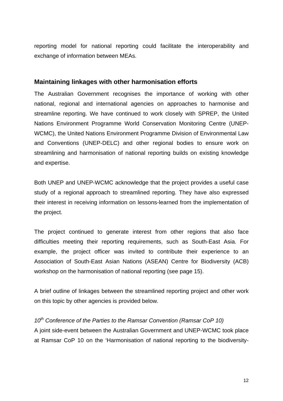reporting model for national reporting could facilitate the interoperability and exchange of information between MEAs.

### **Maintaining linkages with other harmonisation efforts**

The Australian Government recognises the importance of working with other national, regional and international agencies on approaches to harmonise and streamline reporting. We have continued to work closely with SPREP, the United Nations Environment Programme World Conservation Monitoring Centre (UNEP-WCMC), the United Nations Environment Programme Division of Environmental Law and Conventions (UNEP-DELC) and other regional bodies to ensure work on streamlining and harmonisation of national reporting builds on existing knowledge and expertise.

Both UNEP and UNEP-WCMC acknowledge that the project provides a useful case study of a regional approach to streamlined reporting. They have also expressed their interest in receiving information on lessons-learned from the implementation of the project.

The project continued to generate interest from other regions that also face difficulties meeting their reporting requirements, such as South-East Asia. For example, the project officer was invited to contribute their experience to an Association of South-East Asian Nations (ASEAN) Centre for Biodiversity (ACB) workshop on the harmonisation of national reporting (see page 15).

A brief outline of linkages between the streamlined reporting project and other work on this topic by other agencies is provided below.

10<sup>th</sup> Conference of the Parties to the Ramsar Convention (Ramsar CoP 10) A joint side-event between the Australian Government and UNEP-WCMC took place at Ramsar CoP 10 on the 'Harmonisation of national reporting to the biodiversity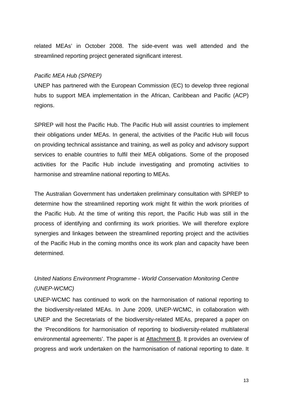related MEAs' in October 2008. The side-event was well attended and the streamlined reporting project generated significant interest.

### *Pacific MEA Hub (SPREP)*

UNEP has partnered with the European Commission (EC) to develop three regional hubs to support MEA implementation in the African, Caribbean and Pacific (ACP) regions.

SPREP will host the Pacific Hub. The Pacific Hub will assist countries to implement their obligations under MEAs. In general, the activities of the Pacific Hub will focus on providing technical assistance and training, as well as policy and advisory support services to enable countries to fulfil their MEA obligations. Some of the proposed activities for the Pacific Hub include investigating and promoting activities to harmonise and streamline national reporting to MEAs.

The Australian Government has undertaken preliminary consultation with SPREP to determine how the streamlined reporting work might fit within the work priorities of the Pacific Hub. At the time of writing this report, the Pacific Hub was still in the process of identifying and confirming its work priorities. We will therefore explore synergies and linkages between the streamlined reporting project and the activities of the Pacific Hub in the coming months once its work plan and capacity have been determined.

# *United Nations Environment Programme - World Conservation Monitoring Centre (UNEP-WCMC)*

UNEP-WCMC has continued to work on the harmonisation of national reporting to the biodiversity-related MEAs. In June 2009, UNEP-WCMC, in collaboration with UNEP and the Secretariats of the biodiversity-related MEAs, prepared a paper on the 'Preconditions for harmonisation of reporting to biodiversity-related multilateral environmental agreements'. The paper is at Attachment B. It provides an overview of progress and work undertaken on the harmonisation of national reporting to date. It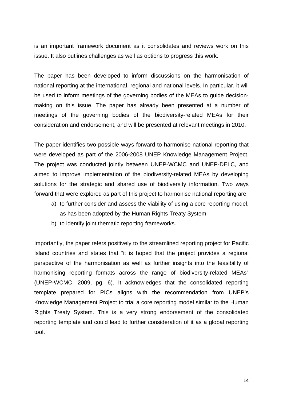is an important framework document as it consolidates and reviews work on this issue. It also outlines challenges as well as options to progress this work.

The paper has been developed to inform discussions on the harmonisation of national reporting at the international, regional and national levels. In particular, it will be used to inform meetings of the governing bodies of the MEAs to guide decisionmaking on this issue. The paper has already been presented at a number of meetings of the governing bodies of the biodiversity-related MEAs for their consideration and endorsement, and will be presented at relevant meetings in 2010.

The paper identifies two possible ways forward to harmonise national reporting that were developed as part of the 2006-2008 UNEP Knowledge Management Project. The project was conducted jointly between UNEP-WCMC and UNEP-DELC, and aimed to improve implementation of the biodiversity-related MEAs by developing solutions for the strategic and shared use of biodiversity information. Two ways forward that were explored as part of this project to harmonise national reporting are:

- a) to further consider and assess the viability of using a core reporting model, as has been adopted by the Human Rights Treaty System
- b) to identify joint thematic reporting frameworks.

Importantly, the paper refers positively to the streamlined reporting project for Pacific Island countries and states that "it is hoped that the project provides a regional perspective of the harmonisation as well as further insights into the feasibility of harmonising reporting formats across the range of biodiversity-related MEAs" (UNEP-WCMC, 2009, pg. 6). It acknowledges that the consolidated reporting template prepared for PICs aligns with the recommendation from UNEP's Knowledge Management Project to trial a core reporting model similar to the Human Rights Treaty System. This is a very strong endorsement of the consolidated reporting template and could lead to further consideration of it as a global reporting tool.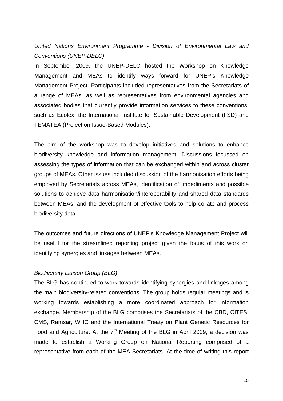*United Nations Environment Programme - Division of Environmental Law and Conventions (UNEP-DELC)* 

In September 2009, the UNEP-DELC hosted the Workshop on Knowledge Management and MEAs to identify ways forward for UNEP's Knowledge Management Project. Participants included representatives from the Secretariats of a range of MEAs, as well as representatives from environmental agencies and associated bodies that currently provide information services to these conventions, such as Ecolex, the International Institute for Sustainable Development (IISD) and TEMATEA (Project on Issue-Based Modules).

The aim of the workshop was to develop initiatives and solutions to enhance biodiversity knowledge and information management. Discussions focussed on assessing the types of information that can be exchanged within and across cluster groups of MEAs. Other issues included discussion of the harmonisation efforts being employed by Secretariats across MEAs, identification of impediments and possible solutions to achieve data harmonisation/interoperability and shared data standards between MEAs, and the development of effective tools to help collate and process biodiversity data.

The outcomes and future directions of UNEP's Knowledge Management Project will be useful for the streamlined reporting project given the focus of this work on identifying synergies and linkages between MEAs.

### *Biodiversity Liaison Group (BLG)*

The BLG has continued to work towards identifying synergies and linkages among the main biodiversity-related conventions. The group holds regular meetings and is working towards establishing a more coordinated approach for information exchange. Membership of the BLG comprises the Secretariats of the CBD, CITES, CMS, Ramsar, WHC and the International Treaty on Plant Genetic Resources for Food and Agriculture. At the  $7<sup>th</sup>$  Meeting of the BLG in April 2009, a decision was made to establish a Working Group on National Reporting comprised of a representative from each of the MEA Secretariats. At the time of writing this report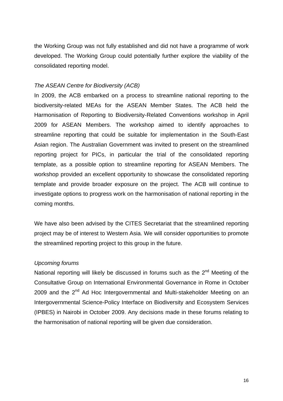the Working Group was not fully established and did not have a programme of work developed. The Working Group could potentially further explore the viability of the consolidated reporting model.

### *The ASEAN Centre for Biodiversity (ACB)*

In 2009, the ACB embarked on a process to streamline national reporting to the biodiversity-related MEAs for the ASEAN Member States. The ACB held the Harmonisation of Reporting to Biodiversity-Related Conventions workshop in April 2009 for ASEAN Members. The workshop aimed to identify approaches to streamline reporting that could be suitable for implementation in the South-East Asian region. The Australian Government was invited to present on the streamlined reporting project for PICs, in particular the trial of the consolidated reporting template, as a possible option to streamline reporting for ASEAN Members. The workshop provided an excellent opportunity to showcase the consolidated reporting template and provide broader exposure on the project. The ACB will continue to investigate options to progress work on the harmonisation of national reporting in the coming months.

We have also been advised by the CITES Secretariat that the streamlined reporting project may be of interest to Western Asia. We will consider opportunities to promote the streamlined reporting project to this group in the future.

### *Upcoming forums*

National reporting will likely be discussed in forums such as the  $2<sup>nd</sup>$  Meeting of the Consultative Group on International Environmental Governance in Rome in October 2009 and the 2<sup>nd</sup> Ad Hoc Intergovernmental and Multi-stakeholder Meeting on an Intergovernmental Science-Policy Interface on Biodiversity and Ecosystem Services (IPBES) in Nairobi in October 2009. Any decisions made in these forums relating to the harmonisation of national reporting will be given due consideration.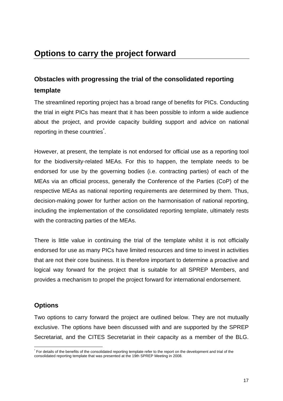# **Obstacles with progressing the trial of the consolidated reporting template**

The streamlined reporting project has a broad range of benefits for PICs. Conducting the trial in eight PICs has meant that it has been possible to inform a wide audience about the project, and provide capacity building support and advice on national reporting in these countries<sup>\*</sup>.

However, at present, the template is not endorsed for official use as a reporting tool for the biodiversity-related MEAs. For this to happen, the template needs to be endorsed for use by the governing bodies (i.e. contracting parties) of each of the MEAs via an official process, generally the Conference of the Parties (CoP) of the respective MEAs as national reporting requirements are determined by them. Thus, decision-making power for further action on the harmonisation of national reporting, including the implementation of the consolidated reporting template, ultimately rests with the contracting parties of the MEAs.

There is little value in continuing the trial of the template whilst it is not officially endorsed for use as many PICs have limited resources and time to invest in activities that are not their core business. It is therefore important to determine a proactive and logical way forward for the project that is suitable for all SPREP Members, and provides a mechanism to propel the project forward for international endorsement.

# **Options**

Two options to carry forward the project are outlined below. They are not mutually exclusive. The options have been discussed with and are supported by the SPREP Secretariat, and the CITES Secretariat in their capacity as a member of the BLG.

<sup>1</sup> \* For details of the benefits of the consolidated reporting template refer to the report on the development and trial of the consolidated reporting template that was presented at the 19th SPREP Meeting in 2008.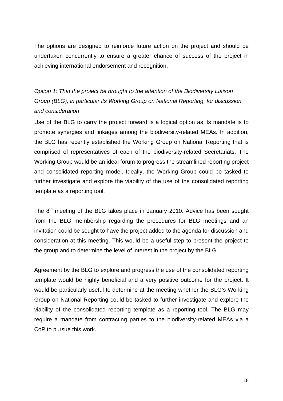The options are designed to reinforce future action on the project and should be undertaken concurrently to ensure a greater chance of success of the project in achieving international endorsement and recognition.

*Option 1: That the project be brought to the attention of the Biodiversity Liaison Group (BLG), in particular its Working Group on National Reporting, for discussion and consideration* 

Use of the BLG to carry the project forward is a logical option as its mandate is to promote synergies and linkages among the biodiversity-related MEAs. In addition, the BLG has recently established the Working Group on National Reporting that is comprised of representatives of each of the biodiversity-related Secretariats. The Working Group would be an ideal forum to progress the streamlined reporting project and consolidated reporting model. Ideally, the Working Group could be tasked to further investigate and explore the viability of the use of the consolidated reporting template as a reporting tool.

The  $8<sup>th</sup>$  meeting of the BLG takes place in January 2010. Advice has been sought from the BLG membership regarding the procedures for BLG meetings and an invitation could be sought to have the project added to the agenda for discussion and consideration at this meeting. This would be a useful step to present the project to the group and to determine the level of interest in the project by the BLG.

Agreement by the BLG to explore and progress the use of the consolidated reporting template would be highly beneficial and a very positive outcome for the project. It would be particularly useful to determine at the meeting whether the BLG's Working Group on National Reporting could be tasked to further investigate and explore the viability of the consolidated reporting template as a reporting tool. The BLG may require a mandate from contracting parties to the biodiversity-related MEAs via a CoP to pursue this work.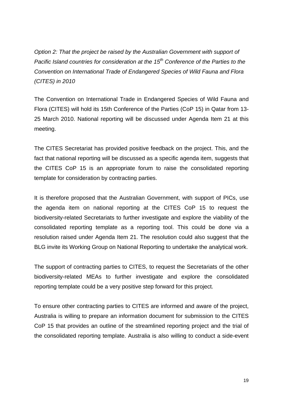*Option 2: That the project be raised by the Australian Government with support of Pacific Island countries for consideration at the 15<sup>th</sup> Conference of the Parties to the Convention on International Trade of Endangered Species of Wild Fauna and Flora (CITES) in 2010* 

The Convention on International Trade in Endangered Species of Wild Fauna and Flora (CITES) will hold its 15th Conference of the Parties (CoP 15) in Qatar from 13- 25 March 2010. National reporting will be discussed under Agenda Item 21 at this meeting.

The CITES Secretariat has provided positive feedback on the project. This, and the fact that national reporting will be discussed as a specific agenda item, suggests that the CITES CoP 15 is an appropriate forum to raise the consolidated reporting template for consideration by contracting parties.

It is therefore proposed that the Australian Government, with support of PICs, use the agenda item on national reporting at the CITES CoP 15 to request the biodiversity-related Secretariats to further investigate and explore the viability of the consolidated reporting template as a reporting tool. This could be done via a resolution raised under Agenda Item 21. The resolution could also suggest that the BLG invite its Working Group on National Reporting to undertake the analytical work.

The support of contracting parties to CITES, to request the Secretariats of the other biodiversity-related MEAs to further investigate and explore the consolidated reporting template could be a very positive step forward for this project.

To ensure other contracting parties to CITES are informed and aware of the project, Australia is willing to prepare an information document for submission to the CITES CoP 15 that provides an outline of the streamlined reporting project and the trial of the consolidated reporting template. Australia is also willing to conduct a side-event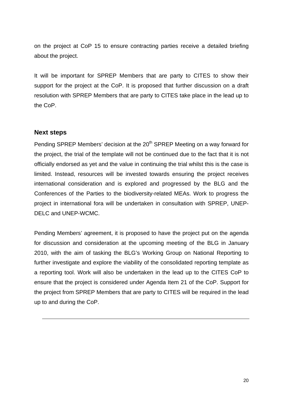on the project at CoP 15 to ensure contracting parties receive a detailed briefing about the project.

It will be important for SPREP Members that are party to CITES to show their support for the project at the CoP. It is proposed that further discussion on a draft resolution with SPREP Members that are party to CITES take place in the lead up to the CoP.

### **Next steps**

Pending SPREP Members' decision at the 20<sup>th</sup> SPREP Meeting on a way forward for the project, the trial of the template will not be continued due to the fact that it is not officially endorsed as yet and the value in continuing the trial whilst this is the case is limited. Instead, resources will be invested towards ensuring the project receives international consideration and is explored and progressed by the BLG and the Conferences of the Parties to the biodiversity-related MEAs. Work to progress the project in international fora will be undertaken in consultation with SPREP, UNEP-DELC and UNEP-WCMC.

Pending Members' agreement, it is proposed to have the project put on the agenda for discussion and consideration at the upcoming meeting of the BLG in January 2010, with the aim of tasking the BLG's Working Group on National Reporting to further investigate and explore the viability of the consolidated reporting template as a reporting tool. Work will also be undertaken in the lead up to the CITES CoP to ensure that the project is considered under Agenda Item 21 of the CoP. Support for the project from SPREP Members that are party to CITES will be required in the lead up to and during the CoP.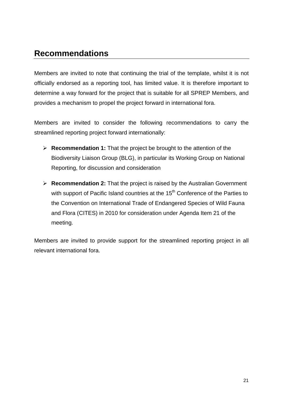# **Recommendations**

Members are invited to note that continuing the trial of the template, whilst it is not officially endorsed as a reporting tool, has limited value. It is therefore important to determine a way forward for the project that is suitable for all SPREP Members, and provides a mechanism to propel the project forward in international fora.

Members are invited to consider the following recommendations to carry the streamlined reporting project forward internationally:

- **Recommendation 1:** That the project be brought to the attention of the Biodiversity Liaison Group (BLG), in particular its Working Group on National Reporting, for discussion and consideration
- **Recommendation 2:** That the project is raised by the Australian Government with support of Pacific Island countries at the 15<sup>th</sup> Conference of the Parties to the Convention on International Trade of Endangered Species of Wild Fauna and Flora (CITES) in 2010 for consideration under Agenda Item 21 of the meeting.

Members are invited to provide support for the streamlined reporting project in all relevant international fora.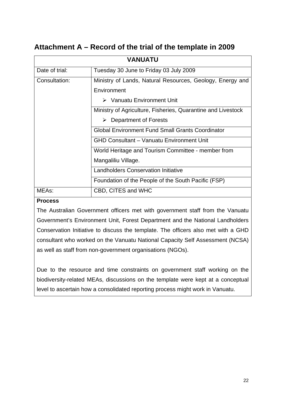# **Attachment A – Record of the trial of the template in 2009**

| <b>VANUATU</b> |                                                              |  |
|----------------|--------------------------------------------------------------|--|
| Date of trial: | Tuesday 30 June to Friday 03 July 2009                       |  |
| Consultation:  | Ministry of Lands, Natural Resources, Geology, Energy and    |  |
|                | Environment                                                  |  |
|                | $\triangleright$ Vanuatu Environment Unit                    |  |
|                | Ministry of Agriculture, Fisheries, Quarantine and Livestock |  |
|                | <b>Department of Forests</b><br>➤                            |  |
|                | <b>Global Environment Fund Small Grants Coordinator</b>      |  |
|                | <b>GHD Consultant - Vanuatu Environment Unit</b>             |  |
|                | World Heritage and Tourism Committee - member from           |  |
|                | Mangaliliu Village.                                          |  |
|                | <b>Landholders Conservation Initiative</b>                   |  |
|                | Foundation of the People of the South Pacific (FSP)          |  |
| MEAs:          | CBD, CITES and WHC                                           |  |

### **Process**

The Australian Government officers met with government staff from the Vanuatu Government's Environment Unit, Forest Department and the National Landholders Conservation Initiative to discuss the template. The officers also met with a GHD consultant who worked on the Vanuatu National Capacity Self Assessment (NCSA) as well as staff from non-government organisations (NGOs).

Due to the resource and time constraints on government staff working on the biodiversity-related MEAs, discussions on the template were kept at a conceptual level to ascertain how a consolidated reporting process might work in Vanuatu.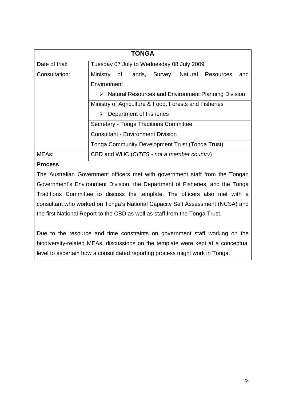| <b>TONGA</b>   |                                                                                                                                               |  |  |
|----------------|-----------------------------------------------------------------------------------------------------------------------------------------------|--|--|
| Date of trial: | Tuesday 07 July to Wednesday 08 July 2009                                                                                                     |  |  |
| Consultation:  | of Lands, Survey, Natural Resources<br>Ministry<br>and<br>Environment<br>$\triangleright$ Natural Resources and Environment Planning Division |  |  |
|                | Ministry of Agriculture & Food, Forests and Fisheries<br>Department of Fisheries                                                              |  |  |
|                | Secretary - Tonga Traditions Committee                                                                                                        |  |  |
|                | <b>Consultant - Environment Division</b>                                                                                                      |  |  |
|                | <b>Tonga Community Development Trust (Tonga Trust)</b>                                                                                        |  |  |
| MEAs:          | CBD and WHC (CITES - not a member country)                                                                                                    |  |  |

### **Process**

The Australian Government officers met with government staff from the Tongan Government's Environment Division, the Department of Fisheries, and the Tonga Traditions Committee to discuss the template. The officers also met with a consultant who worked on Tonga's National Capacity Self Assessment (NCSA) and the first National Report to the CBD as well as staff from the Tonga Trust.

Due to the resource and time constraints on government staff working on the biodiversity-related MEAs, discussions on the template were kept at a conceptual level to ascertain how a consolidated reporting process might work in Tonga.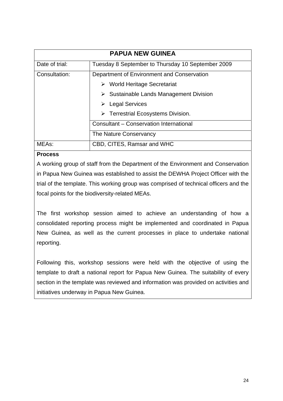| <b>PAPUA NEW GUINEA</b> |                                                        |  |  |
|-------------------------|--------------------------------------------------------|--|--|
| Date of trial:          | Tuesday 8 September to Thursday 10 September 2009      |  |  |
| Consultation:           | Department of Environment and Conservation             |  |  |
|                         | $\triangleright$ World Heritage Secretariat            |  |  |
|                         | $\triangleright$ Sustainable Lands Management Division |  |  |
|                         | <b>Legal Services</b><br>➤                             |  |  |
|                         | $\triangleright$ Terrestrial Ecosystems Division.      |  |  |
|                         | Consultant - Conservation International                |  |  |
|                         | The Nature Conservancy                                 |  |  |
| MEAs:                   | CBD, CITES, Ramsar and WHC                             |  |  |

### **Process**

A working group of staff from the Department of the Environment and Conservation in Papua New Guinea was established to assist the DEWHA Project Officer with the trial of the template. This working group was comprised of technical officers and the focal points for the biodiversity-related MEAs.

The first workshop session aimed to achieve an understanding of how a consolidated reporting process might be implemented and coordinated in Papua New Guinea, as well as the current processes in place to undertake national reporting.

Following this, workshop sessions were held with the objective of using the template to draft a national report for Papua New Guinea. The suitability of every section in the template was reviewed and information was provided on activities and initiatives underway in Papua New Guinea.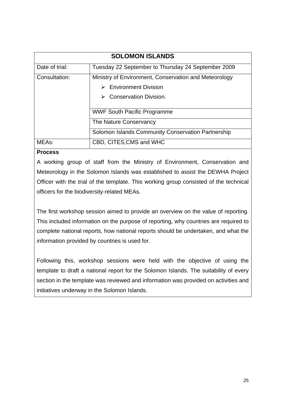| <b>SOLOMON ISLANDS</b> |                                                                                                                                 |  |
|------------------------|---------------------------------------------------------------------------------------------------------------------------------|--|
| Date of trial:         | Tuesday 22 September to Thursday 24 September 2009                                                                              |  |
| Consultation:          | Ministry of Environment, Conservation and Meteorology<br><b>Environment Division</b><br>↘<br><b>Conservation Division.</b><br>↘ |  |
|                        | <b>WWF South Pacific Programme</b><br>The Nature Conservancy<br>Solomon Islands Community Conservation Partnership              |  |
| MEA <sub>s</sub> :     | CBD, CITES, CMS and WHC                                                                                                         |  |

### **Process**

A working group of staff from the Ministry of Environment, Conservation and Meteorology in the Solomon Islands was established to assist the DEWHA Project Officer with the trial of the template. This working group consisted of the technical officers for the biodiversity-related MEAs.

The first workshop session aimed to provide an overview on the value of reporting. This included information on the purpose of reporting, why countries are required to complete national reports, how national reports should be undertaken, and what the information provided by countries is used for.

Following this, workshop sessions were held with the objective of using the template to draft a national report for the Solomon Islands. The suitability of every section in the template was reviewed and information was provided on activities and initiatives underway in the Solomon Islands.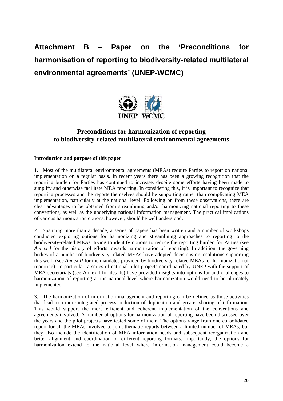**Attachment B – Paper on the 'Preconditions for harmonisation of reporting to biodiversity-related multilateral environmental agreements' (UNEP-WCMC)** 



## **Preconditions for harmonization of reporting to biodiversity-related multilateral environmental agreements**

### **Introduction and purpose of this paper**

1. Most of the multilateral environmental agreements (MEAs) require Parties to report on national implementation on a regular basis. In recent years there has been a growing recognition that the reporting burden for Parties has continued to increase, despite some efforts having been made to simplify and otherwise facilitate MEA reporting. In considering this, it is important to recognize that reporting processes and the reports themselves should be supporting rather than complicating MEA implementation, particularly at the national level. Following on from these observations, there are clear advantages to be obtained from streamlining and/or harmonizing national reporting to these conventions, as well as the underlying national information management. The practical implications of various harmonization options, however, should be well understood.

2. Spanning more than a decade, a series of papers has been written and a number of workshops conducted exploring options for harmonizing and streamlining approaches to reporting to the biodiversity-related MEAs, trying to identify options to reduce the reporting burden for Parties (see *Annex I* for the history of efforts towards harmonization of reporting). In addition, the governing bodies of a number of biodiversity-related MEAs have adopted decisions or resolutions supporting this work (see *Annex II* for the mandates provided by biodiversity-related MEAs for harmonization of reporting). In particular, a series of national pilot projects coordinated by UNEP with the support of MEA secretariats (see Annex I for details) have provided insights into options for and challenges to harmonization of reporting at the national level where harmonization would need to be ultimately implemented.

3. The harmonization of information management and reporting can be defined as those activities that lead to a more integrated process, reduction of duplication and greater sharing of information. This would support the more efficient and coherent implementation of the conventions and agreements involved. A number of options for harmonization of reporting have been discussed over the years and the pilot projects have tested some of them. The options range from one consolidated report for all the MEAs involved to joint thematic reports between a limited number of MEAs, but they also include the identification of MEA information needs and subsequent reorganization and better alignment and coordination of different reporting formats. Importantly, the options for harmonization extend to the national level where information management could become a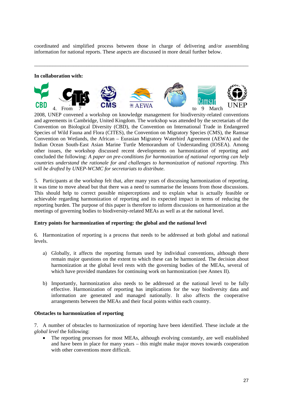coordinated and simplified process between those in charge of delivering and/or assembling information for national reports. These aspects are discussed in more detail further below.

\_\_\_\_\_\_\_\_\_\_\_\_\_\_\_\_\_\_\_\_\_\_\_\_\_\_\_\_\_\_\_\_\_\_\_\_\_\_\_\_\_\_\_\_\_\_\_\_\_\_\_\_\_\_\_\_\_\_\_\_\_\_\_\_\_\_\_\_\_\_\_\_\_\_\_\_\_\_\_\_\_\_

#### **In collaboration with:**



2008, UNEP convened a workshop on knowledge management for biodiversity-related conventions and agreements in Cambridge, United Kingdom. The workshop was attended by the secretariats of the Convention on Biological Diversity (CBD), the Convention on International Trade in Endangered Species of Wild Fauna and Flora (CITES), the Convention on Migratory Species (CMS), the Ramsar Convention on Wetlands, the African – Eurasian Migratory Waterbird Agreement (AEWA) and the Indian Ocean South-East Asian Marine Turtle Memorandum of Understanding (IOSEA). Among other issues, the workshop discussed recent developments on harmonization of reporting and concluded the following: *A paper on pre-conditions for harmonization of national reporting can help countries understand the rationale for and challenges to harmonization of national reporting. This will be drafted by UNEP-WCMC for secretariats to distribute*.

5. Participants at the workshop felt that, after many years of discussing harmonization of reporting, it was time to move ahead but that there was a need to summarise the lessons from those discussions. This should help to correct possible misperceptions and to explain what is actually feasible or achievable regarding harmonization of reporting and its expected impact in terms of reducing the reporting burden. The purpose of this paper is therefore to inform discussions on harmonization at the meetings of governing bodies to biodiversity-related MEAs as well as at the national level.

### **Entry points for harmonization of reporting: the global and the national level**

6. Harmonization of reporting is a process that needs to be addressed at both global and national levels.

- a) Globally, it affects the reporting formats used by individual conventions, although there remain major questions on the extent to which these can be harmonized. The decision about harmonization at the global level rests with the governing bodies of the MEAs, several of which have provided mandates for continuing work on harmonization (see Annex II).
- b) Importantly, harmonization also needs to be addressed at the national level to be fully effective. Harmonization of reporting has implications for the way biodiversity data and information are generated and managed nationally. It also affects the cooperative arrangements between the MEAs and their focal points within each country.

#### **Obstacles to harmonization of reporting**

7. A number of obstacles to harmonization of reporting have been identified. These include at the *global level* the following:

• The reporting processes for most MEAs, although evolving constantly, are well established and have been in place for many years – this might make major moves towards cooperation with other conventions more difficult.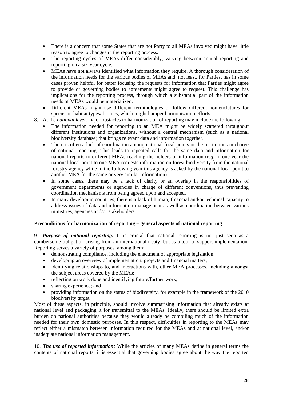- There is a concern that some States that are not Party to all MEAs involved might have little reason to agree to changes in the reporting process.
- The reporting cycles of MEAs differ considerably, varying between annual reporting and reporting on a six-year cycle.
- MEAs have not always identified what information they require. A thorough consideration of the information needs for the various bodies of MEAs and, not least, for Parties, has in some cases proven helpful for better focusing the requests for information that Parties might agree to provide or governing bodies to agreements might agree to request. This challenge has implications for the reporting process, through which a substantial part of the information needs of MEAs would be materialized.
- Different MEAs might use different terminologies or follow different nomenclatures for species or habitat types/ biomes, which might hamper harmonization efforts.
- 8. At the *national level*, major obstacles to harmonization of reporting may include the following:
	- The information needed for reporting to an MEA might be widely scattered throughout different institutions and organizations, without a central mechanism (such as a national biodiversity database) that brings relevant data and information together.
	- There is often a lack of coordination among national focal points or the institutions in charge of national reporting. This leads to repeated calls for the same data and information for national reports to different MEAs reaching the holders of information (*e.g*. in one year the national focal point to one MEA requests information on forest biodiversity from the national forestry agency while in the following year this agency is asked by the national focal point to another MEA for the same or very similar information).
	- In some cases, there may be a lack of clarity or an overlap in the responsibilities of government departments or agencies in charge of different conventions, thus preventing coordination mechanisms from being agreed upon and accepted.
	- In many developing countries, there is a lack of human, financial and/or technical capacity to address issues of data and information management as well as coordination between various ministries, agencies and/or stakeholders.

#### **Preconditions for harmonization of reporting – general aspects of national reporting**

9. *Purpose of national reporting:* It is crucial that national reporting is not just seen as a cumbersome obligation arising from an international treaty, but as a tool to support implementation. Reporting serves a variety of purposes, among them:

- demonstrating compliance, including the enactment of appropriate legislation;
- developing an overview of implementation, projects and financial matters;
- identifying relationships to, and interactions with, other MEA processes, including amongst the subject areas covered by the MEAs;
- reflecting on work done and identifying future/further work:
- sharing experience; and
- providing information on the status of biodiversity, for example in the framework of the 2010 biodiversity target.

Most of these aspects, in principle, should involve summarising information that already exists at national level and packaging it for transmittal to the MEAs. Ideally, there should be limited extra burden on national authorities because they would already be compiling much of the information needed for their own domestic purposes. In this respect, difficulties in reporting to the MEAs may reflect either a mismatch between information required for the MEAs and at national level, and/or inadequate national information management.

10. *The use of reported information:* While the articles of many MEAs define in general terms the contents of national reports, it is essential that governing bodies agree about the way the reported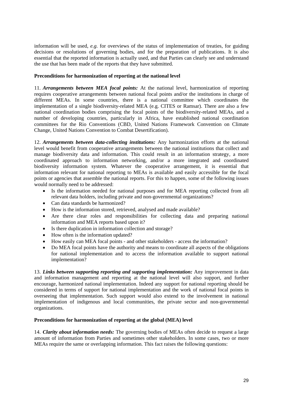information will be used, *e.g.* for overviews of the status of implementation of treaties, for guiding decisions or resolutions of governing bodies, and for the preparation of publications. It is also essential that the reported information is actually used, and that Parties can clearly see and understand the use that has been made of the reports that they have submitted.

### **Preconditions for harmonization of reporting at the national level**

11. *Arrangements between MEA focal points:* At the national level, harmonization of reporting requires cooperative arrangements between national focal points and/or the institutions in charge of different MEAs. In some countries, there is a national committee which coordinates the implementation of a single biodiversity-related MEA (e.g. CITES or Ramsar). There are also a few national coordination bodies comprising the focal points of the biodiversity-related MEAs, and a number of developing countries, particularly in Africa, have established national coordination committees for the Rio Conventions (CBD, United Nations Framework Convention on Climate Change, United Nations Convention to Combat Desertification).

12. *Arrangements between data-collecting institutions:* Any harmonization efforts at the national level would benefit from cooperative arrangements between the national institutions that collect and manage biodiversity data and information. This could result in an information strategy, a more coordinated approach to information networking, and/or a more integrated and coordinated biodiversity information system. Whatever the cooperative arrangement, it is essential that information relevant for national reporting to MEAs is available and easily accessible for the focal points or agencies that assemble the national reports. For this to happen, some of the following issues would normally need to be addressed:

- Is the information needed for national purposes and for MEA reporting collected from all relevant data holders, including private and non-governmental organizations?
- Can data standards be harmonized?
- How is the information stored, retrieved, analysed and made available?
- Are there clear roles and responsibilities for collecting data and preparing national information and MEA reports based upon it?
- Is there duplication in information collection and storage?
- How often is the information updated?
- How easily can MEA focal points and other stakeholders access the information?
- Do MEA focal points have the authority and means to coordinate all aspects of the obligations for national implementation and to access the information available to support national implementation?

13. *Links between supporting reporting and supporting implementation:* Any improvement in data and information management and reporting at the national level will also support, and further encourage, harmonized national implementation. Indeed any support for national reporting should be considered in terms of support for national implementation and the work of national focal points in overseeing that implementation. Such support would also extend to the involvement in national implementation of indigenous and local communities, the private sector and non-governmental organizations.

#### **Preconditions for harmonization of reporting at the global (MEA) level**

14. *Clarity about information needs:* The governing bodies of MEAs often decide to request a large amount of information from Parties and sometimes other stakeholders. In some cases, two or more MEAs require the same or overlapping information. This fact raises the following questions: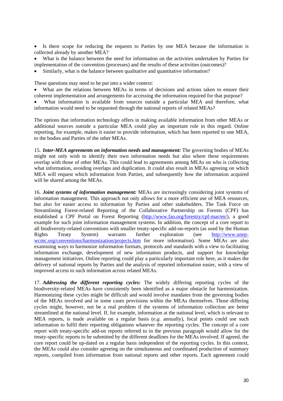Is there scope for reducing the requests to Parties by one MEA because the information is collected already by another MEA?

 What is the balance between the need for information on the activities undertaken by Parties for implementation of the convention (processes) and the results of these activities (outcomes)?

Similarly, what is the balance between qualitative and quantitative information?

These questions may need to be put into a wider context:

 What are the relations between MEAs in terms of decisions and actions taken to ensure their coherent implementation and arrangements for accessing the information required for that purpose?

 What information is available from sources outside a particular MEA and therefore, what information would need to be requested through the national reports of related MEAs?

The options that information technology offers in making available information from other MEAs or additional sources outside a particular MEA could play an important role in this regard. Online reporting, for example, makes it easier to provide information, which has been reported to one MEA, to the bodies and Parties of the other MEAs.

15. *Inter-MEA agreements on information needs and management:* The governing bodies of MEAs might not only wish to identify their own information needs but also where these requirements overlap with those of other MEAs. This could lead to agreements among MEAs on who is collecting what information, avoiding overlaps and duplication. It could also result in MEAs agreeing on which MEA will request which information from Parties, and subsequently how the information acquired will be shared among the MEAs.

16. *Joint systems of information management:* MEAs are increasingly considering joint systems of information management. This approach not only allows for a more efficient use of MEA resources, but also for easier access to information by Parties and other stakeholders. The Task Force on Streamlining Forest-related Reporting of the Collaborative Partnership on Forests (CPF) has established a CPF Portal on Forest Reporting (http://www.fao.org/forestry/cpf-mar/en/), a good example for such joint information management systems. In addition, the concept of a core report to all biodiversity-related conventions with smaller treaty-specific add-on-reports (as used by the Human Rights Treaty System) warrants further exploration (see http://www.unepwcmc.org/conventions/harmonization/projects.htm for more information). Some MEAs are also examining ways to harmonize information formats, protocols and standards with a view to facilitating information exchange, development of new information products, and support for knowledge management initiatives. Online reporting could play a particularly important role here, as it makes the delivery of national reports by Parties and the analysis of reported information easier, with a view of improved access to such information across related MEAs.

17. *Addressing the different reporting cycles:* The widely differing reporting cycles of the biodiversity-related MEAs have consistently been identified as a major obstacle for harmonization. Harmonizing these cycles might be difficult and would involve mandates from the governing bodies of the MEAs involved and in some cases provisions within the MEAs themselves. Those differing cycles might, however, not be a real problem if the systems of information collection are better streamlined at the national level. If, for example, information at the national level, which is relevant to MEA reports, is made available on a regular basis (*e.g.* annually), focal points could use such information to fulfil their reporting obligations whatever the reporting cycles. The concept of a core report with treaty-specific add-on reports referred to in the previous paragraph would allow for the treaty-specific reports to be submitted by the different deadlines for the MEAs involved. If agreed, the core report could be up-dated on a regular basis independent of the reporting cycles. In this context, the MEAs could also consider agreeing on the simultaneous and coordinated production of summary reports, compiled from information from national reports and other reports. Each agreement could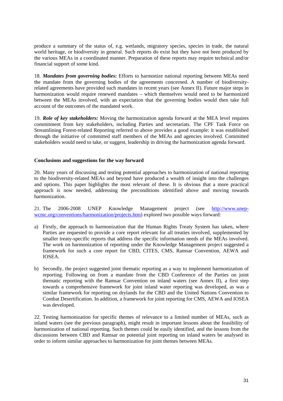produce a summary of the status of, e.g. wetlands, migratory species, species in trade, the natural world heritage, or biodiversity in general. Such reports do exist but they have not been produced by the various MEAs in a coordinated manner. Preparation of these reports may require technical and/or financial support of some kind.

18. *Mandates from governing bodies:* Efforts to harmonize national reporting between MEAs need the mandate from the governing bodies of the agreements concerned. A number of biodiversityrelated agreements have provided such mandates in recent years (see Annex II). Future major steps in harmonization would require renewed mandates – which themselves would need to be harmonized between the MEAs involved, with an expectation that the governing bodies would then take full account of the outcomes of the mandated work.

19. *Role of key stakeholders:* Moving the harmonization agenda forward at the MEA level requires commitment from key stakeholders, including Parties and secretariats. The CPF Task Force on Streamlining Forest-related Reporting referred to above provides a good example: it was established through the initiative of committed staff members of the MEAs and agencies involved. Committed stakeholders would need to take, or suggest, leadership in driving the harmonization agenda forward.

#### **Conclusions and suggestions for the way forward**

20. Many years of discussing and testing potential approaches to harmonization of national reporting to the biodiversity-related MEAs and beyond have produced a wealth of insight into the challenges and options. This paper highlights the most relevant of these. It is obvious that a more practical approach is now needed, addressing the preconditions identified above and moving towards harmonization.

21. The 2006-2008 UNEP Knowledge Management project (see http://www.unepwcmc.org/conventions/harmonization/projects.htm) explored two possible ways forward:

- a) Firstly, the approach to harmonization that the Human Rights Treaty System has taken, where Parties are requested to provide a core report relevant for all treaties involved, supplemented by smaller treaty-specific reports that address the specific information needs of the MEAs involved. The work on harmonization of reporting under the Knowledge Management project suggested a framework for such a core report for CBD, CITES, CMS, Ramsar Convention, AEWA and IOSEA.
- b) Secondly, the project suggested joint thematic reporting as a way to implement harmonization of reporting. Following on from a mandate from the CBD Conference of the Parties on joint thematic reporting with the Ramsar Convention on inland waters (see Annex II), a first step towards a comprehensive framework for joint inland water reporting was developed, as was a similar framework for reporting on drylands for the CBD and the United Nations Convention to Combat Desertification. In addition, a framework for joint reporting for CMS, AEWA and IOSEA was developed.

22. Testing harmonization for specific themes of relevance to a limited number of MEAs, such as inland waters (see the previous paragraph), might result in important lessons about the feasibility of harmonization of national reporting. Such themes could be easily identified, and the lessons from the discussions between CBD and Ramsar on potential joint reporting on inland waters be analysed in order to inform similar approaches to harmonization for joint themes between MEAs.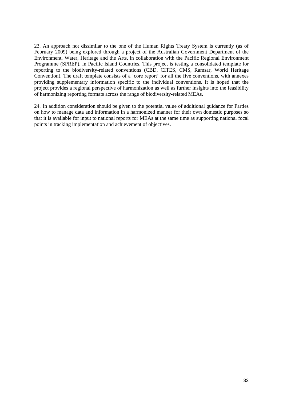23. An approach not dissimilar to the one of the Human Rights Treaty System is currently (as of February 2009) being explored through a project of the Australian Government Department of the Environment, Water, Heritage and the Arts, in collaboration with the Pacific Regional Environment Programme (SPREP), in Pacific Island Countries. This project is testing a consolidated template for reporting to the biodiversity-related conventions (CBD, CITES, CMS, Ramsar, World Heritage Convention). The draft template consists of a 'core report' for all the five conventions, with annexes providing supplementary information specific to the individual conventions. It is hoped that the project provides a regional perspective of harmonization as well as further insights into the feasibility of harmonizing reporting formats across the range of biodiversity-related MEAs.

24. In addition consideration should be given to the potential value of additional guidance for Parties on how to manage data and information in a harmonized manner for their own domestic purposes so that it is available for input to national reports for MEAs at the same time as supporting national focal points in tracking implementation and achievement of objectives.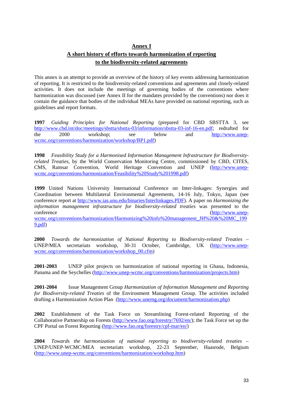## **Annex I A short history of efforts towards harmonization of reporting to the biodiversity-related agreements**

This annex is an attempt to provide an overview of the history of key events addressing harmonization of reporting. It is restricted to the biodiversity-related conventions and agreements and closely-related activities. It does not include the meetings of governing bodies of the conventions where harmonization was discussed (see Annex II for the mandates provided by the conventions) nor does it contain the guidance that bodies of the individual MEAs have provided on national reporting, such as guidelines and report formats.

**1997** *Guiding Principles for National Reporting* (prepared for CBD SBSTTA 3, see http://www.cbd.int/doc/meetings/sbstta/sbstta-03/information/sbstta-03-inf-16-en.pdf; redrafted for the 2000 workshop: see below and http://www.unenthe 2000 workshop; see below and http://www.unepwcmc.org/conventions/harmonization/workshop/BP1.pdf)

**1998** *Feasibility Study for a Harmonised Information Management Infrastructure for Biodiversityrelated Treaties*, by the World Conservation Monitoring Centre, commissioned by CBD, CITES, CMS, Ramsar Convention, World Heritage Convention and UNEP (http://www.unepwcmc.org/conventions/harmonization/Feasibility%20Study%201998.pdf)

**1999** United Nations University International Conference on Inter-linkages: Synergies and Coordination between Multilateral Environmental Agreements, 14-16 July, Tokyo, Japan (see conference report at http://www.ias.unu.edu/binaries/Interlinkages.PDF). A paper on *Harmonizing the information management infrastructure for biodiversity-related treaties* was presented to the conference (http://www.unepwcmc.org/conventions/harmonization/Harmonizing%20info%20management\_JH%20&%20MC\_199 9.pdf)

**2000** *Towards the harmonization of National Reporting to Biodiversity-related Treaties* – UNEP/MEA secretariats workshop, 30-31 October, Cambridge, UK (http://www.unepwcmc.org/conventions/harmonization/workshop\_00.cfm)

**2001-2003** UNEP pilot projects on harmonization of national reporting in Ghana, Indonesia, Panama and the Seychelles (http://www.unep-wcmc.org/conventions/harmonization/projects.htm)

**2001-2004** Issue Management Group *Harmonization of Information Management and Reporting for Biodiversity-related Treaties* of the Environment Management Group. The activities included drafting a Harmonization Action Plan (http://www.unemg.org/document/harmonization.php)

**2002** Establishment of the Task Force on Streamlining Forest-related Reporting of the Collaborative Partnership on Forests (http://www.fao.org/forestry/7692/en/); the Task Force set up the CPF Portal on Forest Reporting (http://www.fao.org/forestry/cpf-mar/en/)

**2004** *Towards the harmonization of national reporting to biodiversity-related treaties* – UNEP/UNEP-WCMC/MEA secretariats workshop, 22-23 September, Haasrode, Belgium (http://www.unep-wcmc.org/conventions/harmonization/workshop.htm)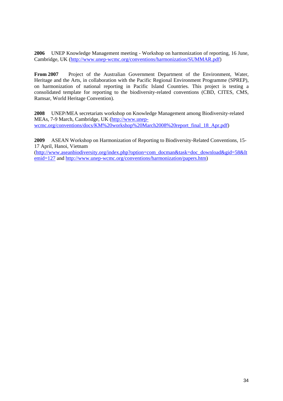**2006** UNEP Knowledge Management meeting - Workshop on harmonization of reporting, 16 June, Cambridge, UK (http://www.unep-wcmc.org/conventions/harmonization/SUMMAR.pdf)

**From 2007** Project of the Australian Government Department of the Environment, Water, Heritage and the Arts, in collaboration with the Pacific Regional Environment Programme (SPREP), on harmonization of national reporting in Pacific Island Countries. This project is testing a consolidated template for reporting to the biodiversity-related conventions (CBD, CITES, CMS, Ramsar, World Heritage Convention).

**2008** UNEP/MEA secretariats workshop on Knowledge Management among Biodiversity-related MEAs, 7-9 March, Cambridge, UK (http://www.unepwcmc.org/conventions/docs/KM%20workshop%20March2008%20report\_final\_18\_Apr.pdf)

**2009** ASEAN Workshop on Harmonization of Reporting to Biodiversity-Related Conventions, 15- 17 April, Hanoi, Vietnam

(http://www.aseanbiodiversity.org/index.php?option=com\_docman&task=doc\_download&gid=58&It emid=127 and http://www.unep-wcmc.org/conventions/harmonization/papers.htm)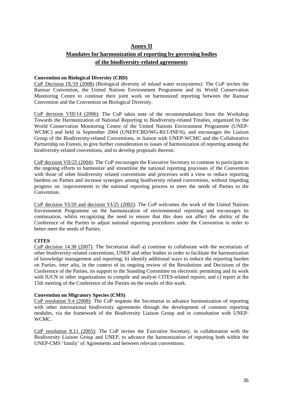## **Annex II Mandates for harmonization of reporting by governing bodies of the biodiversity-related agreements**

#### **Convention on Biological Diversity (CBD)**

CoP Decision IX/19 (2008) (Biological diversity of inland water ecosystems): The CoP invites the Ramsar Convention, the United Nations Environment Programme and its World Conservation Monitoring Centre to continue their joint work on harmonized reporting between the Ramsar Convention and the Convention on Biological Diversity.

CoP decision VIII/14 (2006): The CoP takes note of the recommendations from the Workshop Towards the Harmonization of National Reporting to Biodiversity-related Treaties, organized by the World Conservation Monitoring Centre of the United Nations Environment Programme (UNEP-WCMC) and held in September 2004 (UNEP/CBD/WG-RI/1/INF/6), and encourages the Liaison Group of the Biodiversity-related Conventions, in liaison with UNEP-WCMC and the Collaborative Partnership on Forests, to give further consideration to issues of harmonization of reporting among the biodiversity-related conventions, and to develop proposals thereon.

CoP decision VII/25 (2004): The CoP encourages the Executive Secretary to continue to participate in the ongoing efforts to harmonize and streamline the national reporting processes of the Convention with those of other biodiversity related conventions and processes with a view to reduce reporting burdens on Parties and increase synergies among biodiversity related conventions, without impeding progress on improvements to the national reporting process to meet the needs of Parties to the Convention.

CoP decision VI/20 and decision VI/25 (2002): The CoP welcomes the work of the United Nations Environment Programme on the harmonization of environmental reporting and encourages its continuation, whilst recognizing the need to ensure that this does not affect the ability of the Conference of the Parties to adjust national reporting procedures under the Convention in order to better meet the needs of Parties.

### **CITES**

CoP decision 14.38 (2007): The Secretariat shall a) continue to collaborate with the secretariats of other biodiversity-related conventions, UNEP and other bodies in order to facilitate the harmonization of knowledge management and reporting; b) identify additional ways to reduce the reporting burden on Parties, *inter alia*, in the context of its ongoing review of the Resolutions and Decisions of the Conference of the Parties, its support to the Standing Committee on electronic permitting and its work with IUCN or other organizations to compile and analyse CITES-related reports; and c) report at the 15th meeting of the Conference of the Parties on the results of this work.

#### **Convention on Migratory Species (CMS)**

CoP resolution 9.4 (2008): The CoP requests the Secretariat to advance harmonization of reporting with other international biodiversity agreements through the development of common reporting modules, via the framework of the Biodiversity Liaison Group and in consultation with UNEP-WCMC.

CoP resolution 8.11 (2005): The CoP invites the Executive Secretary, in collaboration with the Biodiversity Liaison Group and UNEP, to advance the harmonization of reporting both within the UNEP-CMS 'family' of Agreements and between relevant conventions.